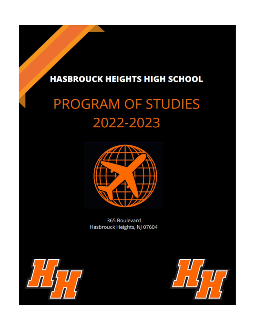# **HASBROUCK HEIGHTS HIGH SCHOOL**

# **PROGRAM OF STUDIES** 2022-2023



365 Boulevard Hasbrouck Heights, NJ 07604



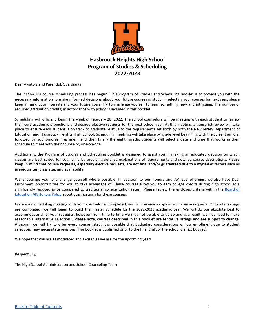

# **Hasbrouck Heights High School Program of Studies & Scheduling 2022-2023**

Dear Aviators and Parent(s)/Guardian(s),

The 2022-2023 course scheduling process has begun! This Program of Studies and Scheduling Booklet is to provide you with the necessary information to make informed decisions about your future courses of study. In selecting your courses for next year, please keep in mind your interests and your future goals. Try to challenge yourself to learn something new and intriguing. The number of required graduation credits, in accordance with policy, is included in this booklet.

Scheduling will officially begin the week of February 28, 2022. The school counselors will be meeting with each student to review their core academic projections and desired elective requests for the next school year. At this meeting, a transcript review will take place to ensure each student is on track to graduate relative to the requirements set forth by both the New Jersey Department of Education and Hasbrouck Heights High School. Scheduling meetings will take place by grade level beginning with the current juniors, followed by sophomores, freshmen, and then finally the eighth grade. Students will select a date and time that works in their schedule to meet with their counselor, one-on-one.

Additionally, the Program of Studies and Scheduling Booklet is designed to assist you in making an educated decision on which classes are best suited for your child by providing detailed explanations of requirements and detailed course descriptions. **Please** keep in mind that course requests, especially elective requests, are not final and/or guaranteed due to a myriad of factors such as **prerequisites, class size, and availability**.

We encourage you to challenge yourself where possible. In addition to our honors and AP level offerings, we also have Dual Enrollment opportunities for you to take advantage of. These courses allow you to earn college credits during high school at a significantly reduced price compared to traditional college tuition rates. Please review the enclosed criteria within the [Board](https://www.straussesmay.com/seportal/Public/DistrictRegulation.aspx?Regulationid=2624.1&id=09ad56643d4f4415a1dbfac7f063f0d6) of Education [AP/Honors](https://www.straussesmay.com/seportal/Public/DistrictRegulation.aspx?Regulationid=2624.1&id=09ad56643d4f4415a1dbfac7f063f0d6) Policy about qualifications for these courses.

Once your scheduling meeting with your counselor is completed, you will receive a copy of your course requests. Once all meetings are completed, we will begin to build the master schedule for the 2022-2023 academic year. We will do our absolute best to accommodate all of your requests; however, from time to time we may not be able to do so and as a result, we may need to make reasonable alternative selections. Please note, courses described in this booklet are tentative listings and are subject to change. Although we will try to offer every course listed, it is possible that budgetary considerations or low enrollment due to student selections may necessitate revisions (The booklet is published prior to the final draft of the school district budget).

We hope that you are as motivated and excited as we are for the upcoming year!

Respectfully,

The High School Administration and School Counseling Team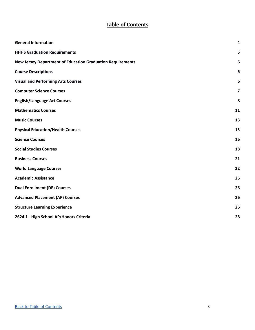# **Table of Contents**

<span id="page-2-0"></span>

| <b>General Information</b>                                        | 4  |
|-------------------------------------------------------------------|----|
| <b>HHHS Graduation Requirements</b>                               | 5  |
| <b>New Jersey Department of Education Graduation Requirements</b> | 6  |
| <b>Course Descriptions</b>                                        | 6  |
| <b>Visual and Performing Arts Courses</b>                         | 6  |
| <b>Computer Science Courses</b>                                   | 7  |
| <b>English/Language Art Courses</b>                               | 8  |
| <b>Mathematics Courses</b>                                        | 11 |
| <b>Music Courses</b>                                              | 13 |
| <b>Physical Education/Health Courses</b>                          | 15 |
| <b>Science Courses</b>                                            | 16 |
| <b>Social Studies Courses</b>                                     | 18 |
| <b>Business Courses</b>                                           | 21 |
| <b>World Language Courses</b>                                     | 22 |
| <b>Academic Assistance</b>                                        | 25 |
| <b>Dual Enrollment (DE) Courses</b>                               | 26 |
| <b>Advanced Placement (AP) Courses</b>                            | 26 |
| <b>Structure Learning Experience</b>                              | 26 |
| 2624.1 - High School AP/Honors Criteria                           | 28 |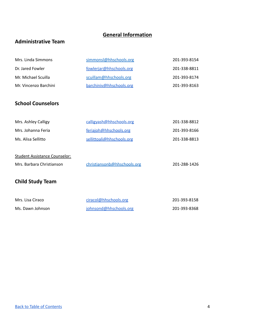# **General Information**

# <span id="page-3-0"></span>**Administrative Team**

| Mrs. Linda Simmons    | simmonsl@hhschools.org  | 201-393-8154 |
|-----------------------|-------------------------|--------------|
| Dr. Jared Fowler      | fowlerjar@hhschools.org | 201-338-8811 |
| Mr. Michael Scuilla   | scuillam@hhschools.org  | 201-393-8174 |
| Mr. Vincenzo Barchini | barchiniv@hhschools.org | 201-393-8163 |
|                       |                         |              |

# **School Counselors**

| Mrs. Ashley Calligy | calligvash@hhschools.org  | 201-338-8812 |
|---------------------|---------------------------|--------------|
| Mrs. Johanna Feria  | feriaioh@hhschools.org    | 201-393-8166 |
| Ms. Alisa Sellitto  | sellittoali@hhschools.org | 201-338-8813 |
|                     |                           |              |

| Student Assistance Counselor: |                             |              |
|-------------------------------|-----------------------------|--------------|
| Mrs. Barbara Christianson     | christiansonb@hhschools.org | 201-288-1426 |

# **Child Study Team**

| Mrs. Lisa Ciraco | ciracol@hhschools.org  | 201-393-8158 |
|------------------|------------------------|--------------|
| Ms. Dawn Johnson | johnsond@hhschools.org | 201-393-8368 |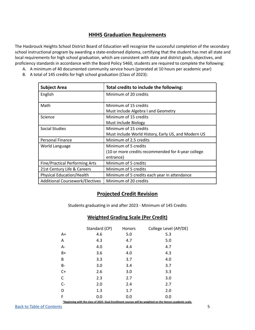# **HHHS Graduation Requirements**

<span id="page-4-0"></span>The Hasbrouck Heights School District Board of Education will recognize the successful completion of the secondary school instructional program by awarding a state-endorsed diploma, certifying that the student has met all state and local requirements for high school graduation, which are consistent with state and district goals, objectives, and proficiency standards in accordance with the Board Policy 5460, students are required to complete the following:

- A. A minimum of 40 documented community service hours (prorated at 10 hours per academic year)
- B. A total of 145 credits for high school graduation (Class of 2023):

| <b>Subject Area</b>                    | Total credits to include the following:             |
|----------------------------------------|-----------------------------------------------------|
| English                                | Minimum of 20 credits                               |
| Math                                   | Minimum of 15 credits                               |
|                                        | Must include Algebra I and Geometry                 |
| Science                                | Minimum of 15 credits                               |
|                                        | Must include Biology                                |
| <b>Social Studies</b>                  | Minimum of 15 credits                               |
|                                        | Must include World History, Early US, and Modern US |
| Personal Finance                       | Minimum of 2.5 credits                              |
| World Language                         | Minimum of 5 credits                                |
|                                        | (10 or more credits recommended for 4-year college  |
|                                        | entrance)                                           |
| <b>Fine/Practical Performing Arts</b>  | Minimum of 5 credits                                |
| 21st Century Life & Careers            | Minimum of 5 credits                                |
| <b>Physical Education/Health</b>       | Minimum of 5 credits each year in attendance        |
| <b>Additional Coursework/Electives</b> | Minimum of 20 credits                               |

# **Projected Credit Revision**

Students graduating in and after 2023 - Minimum of 145 Credits

# **Weighted Grading Scale (Per Credit)**

|                                                                                                           | Standard (CP) | Honors | College Level (AP/DE) |
|-----------------------------------------------------------------------------------------------------------|---------------|--------|-----------------------|
| $A+$                                                                                                      | 4.6           | 5.0    | 5.3                   |
| Α                                                                                                         | 4.3           | 4.7    | 5.0                   |
| $A -$                                                                                                     | 4.0           | 4.4    | 4.7                   |
| $B+$                                                                                                      | 3.6           | 4.0    | 4.3                   |
| B                                                                                                         | 3.3           | 3.7    | 4.0                   |
| <b>B-</b>                                                                                                 | 3.0           | 3.4    | 3.7                   |
| $C+$                                                                                                      | 2.6           | 3.0    | 3.3                   |
| $\mathsf C$                                                                                               | 2.3           | 2.7    | 3.0                   |
| $C-$                                                                                                      | 2.0           | 2.4    | 2.7                   |
| D                                                                                                         | 1.3           | 1.7    | 2.0                   |
| F                                                                                                         | 0.0           | 0.0    | 0.0                   |
| *Beginning with the class of 2025- Dual Enrollment courses will be weighted on the Honors academic scale. |               |        |                       |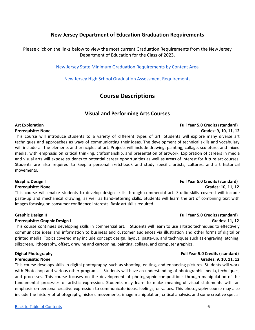# **New Jersey Department of Education Graduation Requirements**

<span id="page-5-1"></span><span id="page-5-0"></span>Please click on the links below to view the most current Graduation Requirements from the New Jersey Department of Education for the Class of 2023.

[New Jersey State Minimum Graduation Requirements by Content Area](https://www.nj.gov/education/cccs/grad.pdf)

[New Jersey High School Graduation Assessment Requirements](https://www.state.nj.us/education/assessment/docs/GradReq.pdf)

# **Course Descriptions**

# **Visual and Performing Arts Courses**

# <span id="page-5-2"></span>**Art Exploration Full Year 5.0 Credits (standard)**

### **Prerequisite: None Grades: 9, 10, 11, 12**

This course will introduce students to a variety of different types of art. Students will explore many diverse art techniques and approaches as ways of communicating their ideas. The development of technical skills and vocabulary will include all the elements and principles of art. Projects will include drawing, painting, collage, sculpture, and mixed media, with emphasis on critical thinking, craftsmanship, and presentation of artwork. Exploration of careers in media and visual arts will expose students to potential career opportunities as well as areas of interest for future art courses. Students are also required to keep a personal sketchbook and study specific artists, cultures, and art historical movements.

This course will enable students to develop design skills through commercial art. Studio skills covered will include paste-up and mechanical drawing, as well as hand-lettering skills. Students will learn the art of combining text with images focusing on consumer confidence interests. Basic art skills required.

### **Prerequisite: Graphic Design I Grades: 11, 12**

This course continues developing skills in commercial art. Students will learn to use artistic techniques to effectively communicate ideas and information to business and customer audiences via illustration and other forms of digital or printed media. Topics covered may include concept design, layout, paste-up, and techniques such as engraving, etching, silkscreen, lithography, offset, drawing and cartooning, painting, collage, and computer graphics.

## **Prerequisite: None Grades: 9, 10, 11, 12**

This course develops skills in digital photography, such as shooting, editing, and enhancing pictures. Students will work with Photoshop and various other programs. Students will have an understanding of photographic media, techniques, and processes. This course focuses on the development of photographic compositions through manipulation of the fundamental processes of artistic expression. Students may learn to make meaningful visual statements with an emphasis on personal creative expression to communicate ideas, feelings, or values. This photography course may also include the history of photography, historic movements, image manipulation, critical analysis, and some creative special

# **Graphic Design I Full Year 5.0 Credits (standard) Prerequisite: None Grades: 10, 11, 12**

# **Graphic Design II Full Year 5.0 Credits (standard)**

# **Digital Photography Full Year 5.0 Credits (standard)**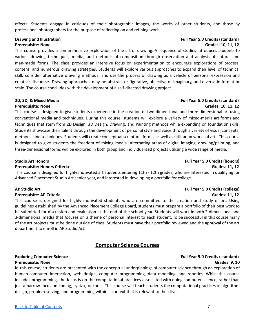effects. Students engage in critiques of their photographic images, the works of other students, and those by professional photographers for the purpose of reflecting on and refining work.

This course provides a comprehensive exploration of the art of drawing. A sequence of studies introduces students to various drawing techniques, media, and methods of composition through observation and analysis of natural and man-made forms. The class provides an intensive focus on experimentation to encourage explorations of process, content, and numerous drawing strategies. Students will explore various approaches to expand their level of technical skill, consider alternative drawing methods, and use the process of drawing as a vehicle of personal expression and creative discourse. Drawing approaches may be abstract or figurative, objective or imaginary, and diverse in format or scale. The course concludes with the development of a self-directed drawing project.

This course is designed to give students experience in the creation of two-dimensional and three-dimensional art using conventional media and techniques. During this course, students will explore a variety of mixed-media art forms and techniques that stem from 2D Design, 3D Design, Drawing, and Painting methods while expanding on foundation skills. Students showcase their talent through the development of personal style and voice through a variety of visual concepts, methods, and techniques. Students will create conceptual sculptural forms, as well as utilitarian works of art. This course is designed to give students the freedom of mixing media. Alternating areas of digital imaging, drawing/painting, and three-dimensional forms will be explored in both group and individualized projects utilizing a wide range of media.

## **Prerequisite: Honors Criteria Grades: 11, 12**

This course is designed for highly motivated art students entering 11th - 12th grades, who are interested in qualifying for Advanced Placement Studio Art senior year, and interested in developing a portfolio for college.

This course is designed for highly motivated students who are committed to the creation and study of art. Using guidelines established by the Advanced Placement College Board, students must prepare a portfolio of their best work to be submitted for discussion and evaluation at the end of the school year. Students will work in both 2-dimensional and 3-dimensional media that focuses on a theme of personal interest to each student. To be successful in this course many of the art projects must be done outside of class. Students must have their portfolio reviewed and the approval of the art department to enroll in AP Studio Art.

# **Computer Science Courses**

# <span id="page-6-0"></span>**Exploring Computer Science Full Year 5.0 Credits (standard) Prerequisite: None Grades: 9, 10**

In this course, students are presented with the conceptual underpinnings of computer science through an exploration of human-computer interaction, web design, computer programming, data modeling, and robotics. While this course includes programming, the focus is on the computational practices associated with doing computer science, rather than just a narrow focus on coding, syntax, or tools. This course will teach students the computational practices of algorithm design, problem-solving, and programming within a context that is relevant to their lives.

## **Drawing and Illustration Full Year 5.0 Credits (standard) Prerequisite: None Grades: 10, 11, 12**

# **2D, 3D, & Mixed Media Full Year 5.0 Credits (standard) Prerequisite: None Grades: 10, 11, 12**

# **Studio Art Honors Full Year 5.0 Credits (honors)**

# **AP Studio Art Full Year 5.0 Credits (college) Prerequisite: AP Criteria Grades: 11, 12**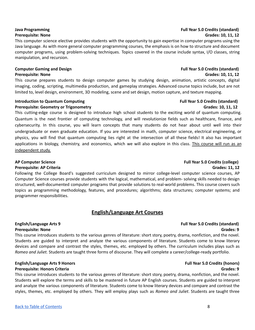This computer science elective provides students with the opportunity to gain expertise in computer programs using the Java language. As with more general computer programming courses, the emphasis is on how to structure and document computer programs, using problem-solving techniques. Topics covered in the course include syntax, I/O classes, string manipulation, and recursion.

## **Computer Gaming and Design Full Year 5.0 Credits (standard) Prerequisite: None Grades: 10, 11, 12**

This course prepares students to design computer games by studying design, animation, artistic concepts, digital imaging, coding, scripting, multimedia production, and gameplay strategies. Advanced course topics include, but are not limited to, level design, environment, 3D modeling, scene and set design, motion capture, and texture mapping.

# **Introduction to Quantum Computing Full Propose 20 Credits Full** Year 5.0 Credits (standard) **Prerequisite: Geometry or Trigonometry Grades: 10, 11, 12**

This cutting-edge course is designed to introduce high school students to the exciting world of quantum computing. Quantum is the next frontier of computing technology, and will revolutionize fields such as healthcare, finance, and cybersecurity. In this course, you will learn concepts that many students do not hear about until well into their undergraduate or even graduate education. If you are interested in math, computer science, electrical engineering, or physics, you will find that quantum computing lies right at the intersection of all these fields! It also has important applications in biology, chemistry, and economics, which we will also explore in this class. This course will run as an independent study.

# **Prerequisite: AP Criteria Grades: 11, 12**

Following the College Board's suggested curriculum designed to mirror college-level computer science courses, AP Computer Science courses provide students with the logical, mathematical, and problem- solving skills needed to design structured, well-documented computer programs that provide solutions to real-world problems. This course covers such topics as programming methodology, features, and procedures; algorithms; data structures; computer systems; and programmer responsibilities.

# **English/Language Art Courses**

This course introduces students to the various genres of literature: short story, poetry, drama, nonfiction, and the novel. Students are guided to interpret and analyze the various components of literature. Students come to know literary devices and compare and contrast the styles, themes, etc. employed by others. The curriculum includes plays such as *Romeo and Juliet.* Students are taught three forms of discourse. They will complete a career/college-ready portfolio.

### **English/Language Arts 9 Honors Full Year 5.0 Credits (honors) Prerequisite: Honors Criteria Grades: 9**

This course introduces students to the various genres of literature: short story, poetry, drama, nonfiction, and the novel. Students will explore the terms and skills to be mastered in future AP English courses. Students are guided to interpret and analyze the various components of literature. Students come to know literary devices and compare and contrast the styles, themes, etc. employed by others. They will employ plays such as *Romeo and Juliet*. Students are taught three

# **AP Computer Science Full Year 5.0 Credits (college)**

# <span id="page-7-0"></span>**English/Language Arts 9 Full Year 5.0 Credits (standard) Prerequisite: None Grades: 9**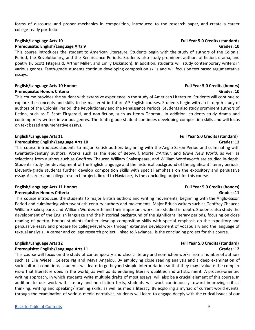forms of discourse and proper mechanics in composition, introduced to the research paper, and create a career college-ready portfolio.

# **English/Language Arts 10 Full Year 5.0 Credits (standard)**

# **Prerequisite: English/Language Arts 9 Grades: 10**

This course introduces the student to American Literature. Students begin with the study of authors of the Colonial Period, the Revolutionary, and the Renaissance Periods. Students also study prominent authors of fiction, drama, and poetry (F. Scott Fitzgerald, Arthur Miller, and Emily Dickinson). In addition, students will study contemporary writers in various genres. Tenth-grade students continue developing composition skills and will focus on text based argumentative essays.

# **English/Language Arts 10 Honors Full Year 5.0 Credits (honors)**

### **Prerequisite: Honors Criteria Grades: 10**

This course provides the student with extensive experience in the study of American Literature. Students will continue to explore the concepts and skills to be mastered in future AP English courses. Students begin with an in-depth study of authors of the Colonial Period, the Revolutionary and the Renaissance Periods. Students also study prominent authors of fiction, such as F. Scott Fitzgerald, and non-fiction, such as Henry Thoreau. In addition, students study drama and contemporary writers in various genres. The tenth-grade student continues developing composition skills and will focus on text based argumentative essays.

### **Prerequisite: English/Language Arts 10 Grades: 11**

This course introduces students to major British authors beginning with the Anglo-Saxon Period and culminating with twentieth-century authors. Works such as the epic of Beowulf, Morte D'Arthur, and *Brave New World,* as well as selections from authors such as Geoffrey Chaucer, William Shakespeare, and William Wordsworth are studied in-depth. Students study the development of the English language and the historical background of the significant literary periods. Eleventh-grade students further develop composition skills with special emphasis on the expository and persuasive essay. A career and college research project, linked to Naviance, is the concluding project for this course.

## **English/Language Arts 11 Honors Full Year 5.0 Credits (honors) Prerequisite: Honors Criteria Grades: 11**

This course introduces the students to major British authors and writing movements, beginning with the Anglo-Saxon Period and culminating with twentieth-century authors and movements. Major British writers such as Geoffrey Chaucer, William Shakespeare, and William Wordsworth and their important works are studied in-depth. Students also study the development of the English language and the historical background of the significant literary periods, focusing on close reading of poetry. Honors students further develop composition skills with special emphasis on the expository and persuasive essay and prepare for college-level work through extensive development of vocabulary and the language of textual analysis. A career and college research project, linked to Naviance, is the concluding project for this course.

## **Prerequisite: English/Language Arts 11 Grades: 12**

This course will focus on the study of contemporary and classic literary and non-fiction works from a number of authors such as Elie Wiesel, Celeste Ng and Maya Angelou. By employing close reading analysis and a deep examination of sociocultural conditions, students will learn to go beyond simple interpretation so that they may evaluate the complex *work* that literature does in the world, as well as its enduring literary qualities and artistic merit. A process-oriented writing approach, in which students write multiple drafts of most essays, will also be a crucial element of this course. In addition to our work with literary and non-fiction texts, students will work continuously toward improving critical thinking, writing and speaking/listening skills, as well as media literacy. By exploring a myriad of current world events, through the examination of various media narratives, students will learn to engage deeply with the critical issues of our

# **English/Language Arts 11 Full Year 5.0 Credits (standard)**

# **English/Language Arts 12 Full Year 5.0 Credits (standard)**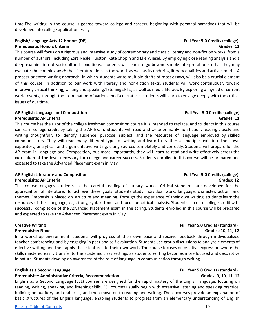time.The writing in the course is geared toward college and careers, beginning with personal narratives that will be developed into college application essays.

# **English/Language Arts 12 Honors (DE) Full Year 5.0 Credits (college) Prerequisite: Honors Criteria Grades: 12**

This course will focus on a rigorous and intensive study of contemporary and classic literary and non-fiction works, from a number of authors, including Zora Neale Hurston, Kate Chopin and Elie Wiesel. By employing close reading analysis and a deep examination of sociocultural conditions, students will learn to go beyond simple interpretation so that they may evaluate the complex *work* that literature does in the world, as well as its enduring literary qualities and artistic merit. A process-oriented writing approach, in which students write multiple drafts of most essays, will also be a crucial element of this course. In addition to our work with literary and non-fiction texts, students will work continuously toward improving critical thinking, writing and speaking/listening skills, as well as media literacy. By exploring a myriad of current world events, through the examination of various media narratives, students will learn to engage deeply with the critical issues of our time.

# **AP English Language and Composition Full Year 5.0 Credits (college)**

This course has the rigor of the college freshman composition course it is intended to replace, and students in this course can earn college credit by taking the AP Exam. Students will read and write primarily non-fiction, reading closely and writing thoughtfully to identify audience, purpose, subject, and the resources of language employed by skilled communicators. They will read many different types of writing and learn to synthesize multiple texts into their own expository, analytical, and argumentative writing, citing sources completely and correctly. Students will prepare for the AP exam in Language and Composition, but more importantly, they will learn to read and write effectively across the curriculum at the level necessary for college and career success. Students enrolled in this course will be prepared and expected to take the Advanced Placement exam in May.

# **AP English Literature and Composition Full Year 5.0 Credits (college)**

This course engages students in the careful reading of literary works. Critical standards are developed for the appreciation of literature. To achieve these goals, students study individual work, language, character, action, and themes. Emphasis is placed on structure and meaning. Through the experience of their own writing, students learn the resources of their language, e.g., irony, syntax, tone, and focus on critical analysis. Students can earn college credit with successful completion of the Advanced Placement exam in the spring. Students enrolled in this course will be prepared and expected to take the Advanced Placement exam in May.

## **Creative Writing Full Year 5.0 Credits (standard)**

### **Prerequisite: None Grades: 10, 11, 12**

In a workshop environment, students will progress at their own pace and receive feedback through individualized teacher conferencing and by engaging in peer and self-evaluation. Students use group discussions to analyze elements of effective writing and then apply these features to their own work. The course focuses on creative expression where the skills mastered easily transfer to the academic class settings as students' writing becomes more focused and descriptive in nature. Students develop an awareness of the role of language in communication through writing.

## **English as a Second Language Full Year 5.0 Credits (standard)**

# **Prerequisite: Administrative Criteria, Recommendation Grades: 9, 10, 11, 12**

English as a Second Language (ESL) courses are designed for the rapid mastery of the English language, focusing on reading, writing, speaking, and listening skills. ESL courses usually begin with extensive listening and speaking practice, building on auditory and oral skills, and then move on to reading and writing. These courses provide an explanation of basic structures of the English language, enabling students to progress from an elementary understanding of English

# **Prerequisite: AP Criteria Grades: 11**

# **Prerequisite: AP Criteria Grades: 12**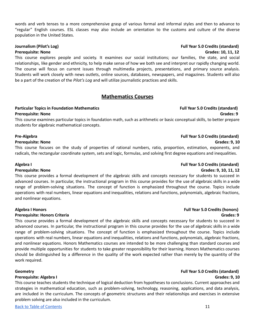words and verb tenses to a more comprehensive grasp of various formal and informal styles and then to advance to "regular" English courses. ESL classes may also include an orientation to the customs and culture of the diverse population in the United States.

This course explores people and society. It examines our social institutions; our families, the state, and social relationships, like gender and ethnicity, to help make sense of how we both see and interpret our rapidly changing world. The course will focus on current issues through multimedia projects, presentations, and primary source analysis. Students will work closely with news outlets, online sources, databases, newspapers, and magazines. Students will also be a part of the creation of the *Pilot's Log* and will utilize journalistic practices and skills.

# **Mathematics Courses**

### <span id="page-10-0"></span>**Particular Topics in Foundation Mathematics Full Year 5.0 Credits (standard) Prerequisite: None Grades: 9**

This course examines particular topics in foundation math, such as arithmetic or basic conceptual skills, to better prepare students for algebraic mathematical concepts.

### **Prerequisite: None Grades: 9, 10**

This course focuses on the study of properties of rational numbers, ratio, proportion, estimation, exponents, and radicals, the rectangular coordinate system, sets and logic, formulas, and solving first degree equations and inequalities.

This course provides a formal development of the algebraic skills and concepts necessary for students to succeed in advanced courses. In particular, the instructional program in this course provides for the use of algebraic skills in a wide range of problem-solving situations. The concept of function is emphasized throughout the course. Topics include operations with real numbers, linear equations and inequalities, relations and functions, polynomials, algebraic fractions, and nonlinear equations.

This course provides a formal development of the algebraic skills and concepts necessary for students to succeed in advanced courses. In particular, the instructional program in this course provides for the use of algebraic skills in a wide range of problem-solving situations. The concept of function is emphasized throughout the course. Topics include operations with real numbers, linear equations and inequalities, relations and functions, polynomials, algebraic fractions, and nonlinear equations. Honors Mathematics courses are intended to be more challenging than standard courses and provide multiple opportunities for students to take greater responsibility for their learning. Honors Mathematics courses should be distinguished by a difference in the quality of the work expected rather than merely by the quantity of the work required.

## **Prerequisite: Algebra I Grades: 9, 10**

This course teaches students the technique of logical deduction from hypotheses to conclusions. Current approaches and strategies in mathematical education, such as problem-solving, technology, reasoning, applications, and data analysis, are included in the curriculum. The concepts of geometric structures and their relationships and exercises in extensive problem solving are also included in the curriculum.

# **Journalism (Pilot's Log) Full Year 5.0 Credits (standard) Prerequisite: None Grades: 10, 11, 12**

# **Pre-Algebra Full Year 5.0 Credits (standard)**

# **Algebra I Full Year 5.0 Credits (standard)**

# **Prerequisite: None Grades: 9, 10, 11, 12**

# **Algebra I Honors Full Year 5.0 Credits (honors) Prerequisite: Honors Criteria Grades: 9**

# **Geometry Full Year 5.0 Credits (standard)**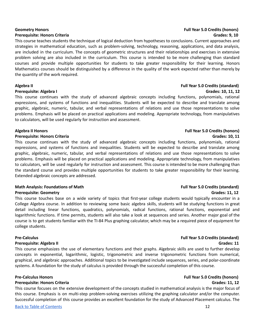This course teaches students the technique of logical deduction from hypotheses to conclusions. Current approaches and strategies in mathematical education, such as problem-solving, technology, reasoning, applications, and data analysis, are included in the curriculum. The concepts of geometric structures and their relationships and exercises in extensive problem solving are also included in the curriculum. This course is intended to be more challenging than standard courses and provide multiple opportunities for students to take greater responsibility for their learning. Honors Mathematics courses should be distinguished by a difference in the quality of the work expected rather than merely by the quantity of the work required.

This course continues with the study of advanced algebraic concepts including functions, polynomials, rational expressions, and systems of functions and inequalities. Students will be expected to describe and translate among graphic, algebraic, numeric, tabular, and verbal representations of relations and use those representations to solve problems. Emphasis will be placed on practical applications and modeling. Appropriate technology, from manipulatives to calculators, will be used regularly for instruction and assessment.

### **Algebra II Honors Full Year 5.0 Credits (honors)**

### **Prerequisite: Honors Criteria Grades: 10, 11**

This course continues with the study of advanced algebraic concepts including functions, polynomials, rational expressions, and systems of functions and inequalities. Students will be expected to describe and translate among graphic, algebraic, numeric, tabular, and verbal representations of relations and use those representations to solve problems. Emphasis will be placed on practical applications and modeling. Appropriate technology, from manipulatives to calculators, will be used regularly for instruction and assessment. This course is intended to be more challenging than the standard course and provides multiple opportunities for students to take greater responsibility for their learning. Extended algebraic concepts are addressed.

### **Math Analysis: Foundations of Math Full Year 5.0 Credits (standard) Prerequisite: Geometry Grades: 11, 12**

This course touches base on a wide variety of topics that first-year college students would typically encounter in a College Algebra course. In addition to reviewing some basic algebra skills, students will be studying functions in great detail including linear functions, quadratics, polynomials, radical functions, rational functions, exponential and logarithmic functions. If time permits, students will also take a look at sequences and series. Another major goal of the course is to get students familiar with the TI-84 Plus graphing calculator, which may be a required piece of equipment for college students.

### **Prerequisite: Algebra II Grades: 11**

This course emphasizes the use of elementary functions and their graphs. Algebraic skills are used to further develop concepts in exponential, logarithmic, logistic, trigonometric and inverse trigonometric functions from numerical, graphical, and algebraic approaches. Additional topics to be investigated include sequences, series, and polar-coordinate systems. A foundation for the study of calculus is provided through the successful completion of this course.

## **Pre-Calculus Honors Full Year 5.0 Credits (honors)**

## **Prerequisite: Honors Criteria Grades: 11, 12**

This course focuses on the extensive development of the concepts studied in mathematical analysis is the major focus of this course. Emphasis is on multi-step problem-solving exercises utilizing the graphing calculator and/or the computer. Successful completion of this course provides an excellent foundation for the study of Advanced Placement calculus. The

# **Pre-Calculus Full Year 5.0 Credits (standard)**

### **Algebra II Full Year 5.0 Credits (standard) Prerequisite: Algebra I Grades: 10, 11, 12**

# **Geometry Honors Full Year 5.0 Credits (honors) Prerequisite: Honors Criteria Grades: 9, 10**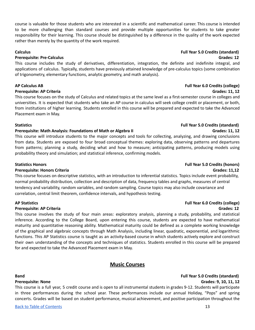## course is valuable for those students who are interested in a scientific and mathematical career. This course is intended to be more challenging than standard courses and provide multiple opportunities for students to take greater responsibility for their learning. This course should be distinguished by a difference in the quality of the work expected rather than merely by the quantity of the work required.

### **Calculus Full Year 5.0 Credits (standard)**

# **Prerequisite: Pre-Calculus Grades: 12**

This course includes the study of derivatives, differentiation, integration, the definite and indefinite integral, and applications of calculus. Typically, students have previously attained knowledge of pre-calculus topics (some combination of trigonometry, elementary functions, analytic geometry, and math analysis).

## **Prerequisite: AP Criteria Grades: 11, 12**

This course focuses on the study of Calculus and related topics at the same level as a first-semester course in colleges and universities. It is expected that students who take an AP course in calculus will seek college credit or placement, or both, from institutions of higher learning. Students enrolled in this course will be prepared and expected to take the Advanced Placement exam in May.

## **Statistics Full Year 5.0 Credits (standard)**

## **Prerequisite: Math Analysis: Foundations of Math or Algebra II Grades: 11, 12**

This course will introduce students to the major concepts and tools for collecting, analyzing, and drawing conclusions from data. Students are exposed to four broad conceptual themes: exploring data, observing patterns and departures from patterns; planning a study, deciding what and how to measure; anticipating patterns, producing models using probability theory and simulation; and statistical inference, confirming models.

### **Statistics Honors Full Year 5.0 Credits (honors)**

## **Prerequisite: Honors Criteria Grades: 11,12**

This course focuses on descriptive statistics, with an introduction to inferential statistics. Topics include event probability, normal probability distribution, collection and description of data, frequency tables and graphs, measures of central tendency and variability, random variables, and random sampling. Course topics may also include covariance and correlation, central limit theorem, confidence intervals, and hypothesis testing.

## **AP Statistics Full Year 6.0 Credits (college)**

## **Prerequisite: AP Criteria Grades: 12**

This course involves the study of four main areas: exploratory analysis, planning a study, probability, and statistical inference. According to the College Board, upon entering this course, students are expected to have mathematical maturity and quantitative reasoning ability. Mathematical maturity could be defined as a complete working knowledge of the graphical and algebraic concepts through Math Analysis, including linear, quadratic, exponential, and logarithmic functions. This AP Statistics course is taught as an activity-based course in which students actively explore and construct their own understanding of the concepts and techniques of statistics. Students enrolled in this course will be prepared for and expected to take the Advanced Placement exam in May.

# **Music Courses**

## <span id="page-12-0"></span>**Band Full Year 5.0 Credits (standard)**

This course is a full year, 5 credit course and is open to all instrumental students in grades 9-12. Students will participate in three performances during the school year. These performances include our annual Holiday, "Pops" and spring concerts. Grades will be based on student performance, musical achievement, and positive participation throughout the

# **AP Calculus AB Full Year 6.0 Credits (college)**

# **Prerequisite: None Grades: 9, 10, 11, 12**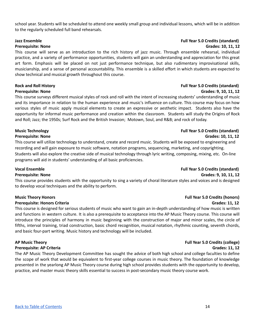school year. Students will be scheduled to attend one weekly small group and individual lessons, which will be in addition to the regularly scheduled full band rehearsals.

This course will serve as an introduction to the rich history of jazz music. Through ensemble rehearsal, individual practice, and a variety of performance opportunities, students will gain an understanding and appreciation for this great art form. Emphasis will be placed on not just performance technique, but also rudimentary improvisational skills, musicianship, and a sense of personal accountability. This ensemble is a skilled effort in which students are expected to show technical and musical growth throughout this course.

This course surveys different musical styles of rock and roll with the intent of increasing students' understanding of music and its importance in relation to the human experience and music's influence on culture. This course may focus on how various styles of music apply musical elements to create an expressive or aesthetic impact. Students also have the opportunity for informal music performance and creation within the classroom. Students will study the Origins of Rock and Roll; Jazz; the 1950s; Surf Rock and the British Invasion; Motown, Soul, and R&B; and rock of today.

# **Music Technology Full Year 5.0 Credits (standard)**

This course will utilize technology to understand, create and record music. Students will be exposed to engineering and recording and will gain exposure to music software, notation programs, sequencing, marketing, and copyrighting. Students will also explore the creative side of musical technology through lyric writing, composing, mixing, etc. On-line programs will aid in students' understanding of all basic proficiencies.

## **Vocal Ensemble Full Year 5.0 Credits (standard)**

### **Prerequisite: None Grades: 9, 10, 11, 12**

This course provides students with the opportunity to sing a variety of choral literature styles and voices and is designed to develop vocal techniques and the ability to perform.

### **Prerequisite: Honors Criteria Grades: 11, 12**

This course is designed for serious students of music who want to gain an in-depth understanding of how music is written and functions in western culture. It is also a prerequisite to acceptance into the AP Music Theory course. This course will introduce the principles of harmony in music beginning with the construction of major and minor scales, the circle of fifths, interval training, triad construction, basic chord recognition, musical notation, rhythmic counting, seventh chords, and basic four-part writing. Music history and technology will be included.

## **AP Music Theory Full Year 5.0 Credits (college)**

### **Prerequisite: AP Criteria Grades: 11, 12**

The AP Music Theory Development Committee has sought the advice of both high school and college faculties to define the scope of work that would be equivalent to first-year college courses in music theory. The foundation of knowledge presented in the yearlong AP Music Theory course during high school provides students with the opportunity to develop, practice, and master music theory skills essential to success in post-secondary music theory course work.

### **Jazz Ensemble Full Year 5.0 Credits (standard) Prerequisite: None Grades: 10, 11, 12**

# **Rock and Roll History Full Year 5.0 Credits (standard)**

# **Prerequisite: None Grades: 9, 10, 11, 12**

# **Prerequisite: None Grades: 10, 11, 12**

# **Music Theory Honors Full Year 5.0 Credits (honors)**

### Back to Table of [Contents](#page-2-0) 14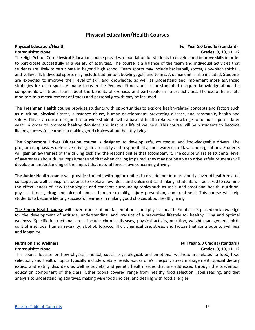# **Physical Education/Health Courses**

### <span id="page-14-0"></span>**Physical Education/Health Full Year 5.0 Credits (standard) Prerequisite: None Grades: 9, 10, 11, 12**

The High School Core Physical Education course provides a foundation for students to develop and improve skills in order to participate successfully in a variety of activities. The course is a balance of the team and individual activities that students are likely to participate in beyond high school. Team sports may include basketball, soccer, slow-pitch softball, and volleyball. Individual sports may include badminton, bowling, golf, and tennis. A dance unit is also included. Students are expected to improve their level of skill and knowledge, as well as understand and implement more advanced strategies for each sport. A major focus in the Personal Fitness unit is for students to acquire knowledge about the components of fitness, learn about the benefits of exercise, and participate in fitness activities. The use of heart rate monitors as a measurement of fitness and personal growth may be included.

**The Freshman Health course** provides students with opportunities to explore health-related concepts and factors such as nutrition, physical fitness, substance abuse, human development, preventing disease, and community health and safety. This is a course designed to provide students with a base of health-related knowledge to be built upon in later years in order to promote healthy decisions and inspire a life of wellness. This course will help students to become lifelong successful learners in making good choices about healthy living.

**The Sophomore Driver Education course** is designed to develop safe, courteous, and knowledgeable drivers. The program emphasizes defensive driving, driver safety and responsibility, and awareness of laws and regulations. Students will gain an awareness of the driving task and the responsibilities that accompany it. The course will raise students' level of awareness about driver impairment and that when driving impaired, they may not be able to drive safely. Students will develop an understanding of the impact that natural forces have concerning driving.

**The Junior Health course** will provide students with opportunities to dive deeper into previously covered health-related concepts, as well as inspire students to explore new ideas and utilize critical thinking. Students will be asked to examine the effectiveness of new technologies and concepts surrounding topics such as social and emotional health, nutrition, physical fitness, drug and alcohol abuse, human sexuality, injury prevention, and treatment. This course will help students to become lifelong successful learners in making good choices about healthy living.

**The Senior Health course** will cover aspects of mental, emotional, and physical health. Emphasis is placed on knowledge for the development of attitude, understanding, and practice of a preventive lifestyle for healthy living and optimal wellness. Specific instructional areas include chronic diseases, physical activity, nutrition, weight management, birth control methods, human sexuality, alcohol, tobacco, illicit chemical use, stress, and factors that contribute to wellness and longevity.

## **Nutrition and Wellness Full Year 5.0 Credits (standard) Prerequisite: None Grades: 9, 10, 11, 12**

This course focuses on how physical, mental, social, psychological, and emotional wellness are related to food, food selection, and health. Topics typically include dietary needs across one's lifespan, stress management, special dietary issues, and eating disorders as well as societal and genetic health issues that are addressed through the prevention education component of the class. Other topics covered range from healthy food selection, label reading, and diet analysis to understanding additives, making wise food choices, and dealing with food allergies.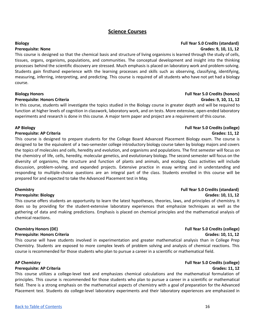# **Science Courses**

# <span id="page-15-0"></span>**Biology Full Year 5.0 Credits (standard) Prerequisite: None Grades: 9, 10, 11, 12** This course is designed so that the chemical basis and structure of living organisms is learned through the study of cells,

tissues, organs, organisms, populations, and communities. The conceptual development and insight into the thinking processes behind the scientific discovery are stressed. Much emphasis is placed on laboratory work and problem-solving. Students gain firsthand experience with the learning processes and skills such as observing, classifying, identifying, measuring, inferring, interpreting, and predicting. This course is required of all students who have not yet had a biology course.

### **Biology Honors Full Year 5.0 Credits (honors)**

### **Prerequisite: Honors Criteria Grades: 9, 10, 11, 12**

In this course, students will investigate the topics studied in the Biology course in greater depth and will be required to function at higher levels of cognition in classwork, laboratory work, and on tests. More extensive, open-ended laboratory experiments and research is done in this course. A major term paper and project are a requirement of this course.

### **AP Biology Full Year 5.0 Credits (college)**

### **Prerequisite: AP Criteria Grades: 11, 12**

This course is designed to prepare students for the College Board Advanced Placement Biology exam. The course is designed to be the equivalent of a two-semester college introductory biology course taken by biology majors and covers the topics of molecules and cells, heredity and evolution, and organisms and populations. The first semester will focus on the chemistry of life, cells, heredity, molecular genetics, and evolutionary biology. The second semester will focus on the diversity of organisms, the structure and function of plants and animals, and ecology. Class activities will include discussion, problem-solving, and expanded projects. Extensive practice in essay writing and in understanding and responding to multiple-choice questions are an integral part of the class. Students enrolled in this course will be prepared for and expected to take the Advanced Placement test in May.

This course offers students an opportunity to learn the latest hypotheses, theories, laws, and principles of chemistry. It does so by providing for the student-extensive laboratory experiences that emphasize techniques as well as the gathering of data and making predictions. Emphasis is placed on chemical principles and the mathematical analysis of chemical reactions.

## **Chemistry Honors (DE) Full Year 5.0 Credits (college)**

### **Prerequisite: Honors Criteria Grades: 10, 11, 12**

This course will have students involved in experimentation and greater mathematical analysis than in College Prep Chemistry. Students are exposed to more complex levels of problem solving and analysis of chemical reactions. This course is recommended for those students who plan to pursue a career in a scientific or mathematical field.

### **Prerequisite: AP Criteria Grades: 11, 12**

This course utilizes a college-level text and emphasizes chemical calculations and the mathematical formulation of principles. This course is recommended for those students who plan to pursue a career in a scientific or mathematical field. There is a strong emphasis on the mathematical aspects of chemistry with a goal of preparation for the Advanced Placement test. Students do college-level laboratory experiments and their laboratory experiences are emphasized in

# **Chemistry Full Year 5.0 Credits (standard) Prerequisite: Biology Grades: 10, 11, 12**

# **AP Chemistry Full Year 5.0 Credits (college)**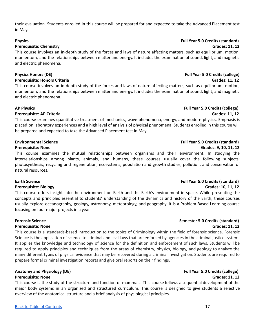their evaluation. Students enrolled in this course will be prepared for and expected to take the Advanced Placement test in May.

### **Prerequisite: Chemistry Grades: 11, 12**

This course involves an in-depth study of the forces and laws of nature affecting matters, such as equilibrium, motion, momentum, and the relationships between matter and energy. It includes the examination of sound, light, and magnetic and electric phenomena.

### **Physics Honors (DE) Full Year 5.0 Credits (college)**

### **Prerequisite: Honors Criteria Grades: 11, 12**

This course involves an in-depth study of the forces and laws of nature affecting matters, such as equilibrium, motion, momentum, and the relationships between matter and energy. It includes the examination of sound, light, and magnetic and electric phenomena.

### **AP Physics Full Year 5.0 Credits (college)**

### **Prerequisite: AP Criteria Grades: 11, 12**

This course examines quantitative treatment of mechanics, wave phenomena, energy, and modern physics. Emphasis is placed on laboratory experiences and a high level of analysis of physical phenomena. Students enrolled in this course will be prepared and expected to take the Advanced Placement test in May.

This course examines the mutual relationships between organisms and their environment. In studying the interrelationships among plants, animals, and humans, these courses usually cover the following subjects: photosynthesis, recycling and regeneration, ecosystems, population and growth studies, pollution, and conservation of natural resources**.**

## **Earth Science Full Year 5.0 Credits (standard)**

### **Prerequisite: Biology Grades: 10, 11, 12**

This course offers insight into the environment on Earth and the Earth's environment in space. While presenting the concepts and principles essential to students' understanding of the dynamics and history of the Earth, these courses usually explore oceanography, geology, astronomy, meteorology, and geography. It is a Problem Based Learning course focusing on four major projects in a year.

This course is a standards-based introduction to the topics of Criminology within the field of forensic science. Forensic Science is the application of science to criminal and civil laws that are enforced by agencies in the criminal justice system. It applies the knowledge and technology of science for the definition and enforcement of such laws. Students will be required to apply principles and techniques from the areas of chemistry, physics, biology, and geology to analyze the many different types of physical evidence that may be recovered during a criminal investigation. Students are required to prepare formal criminal investigation reports and give oral reports on their findings.

# **Anatomy and Physiology (DE) Full Year 5.0 Credits (college)**

This course is the study of the structure and function of mammals. This course follows a sequential development of the major body systems in an organized and structured curriculum. This course is designed to give students a selective overview of the anatomical structure and a brief analysis of physiological principles.

## **Environmental Science Full Year 5.0 Credits (standard)**

## **Prerequisite: None Grades: 9, 10, 11, 12**

## **Forensic Science Semester 5.0 Credits (standard) Prerequisite: None Grades: 11, 12**

# **Prerequisite: None Grades: 11, 12**

# **Physics Full Year 5.0 Credits (standard)**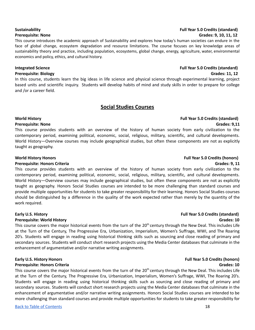# **Sustainability Full Year 5.0 Credits (standard) Prerequisite: None Grades: 9, 10, 11, 12**

This course introduces the academic approach of Sustainability and explores how today's human societies can endure in the face of global change, ecosystem degradation and resource limitations. The course focuses on key knowledge areas of sustainability theory and practice, including population, ecosystems, global change, energy, agriculture, water, environmental economics and policy, ethics, and cultural history.

**Prerequisite: Biology Grades: 11, 12**

<span id="page-17-0"></span>In this course, students learn the big ideas in life science and physical science through experimental learning, project based units and scientific inquiry. Students will develop habits of mind and study skills in order to prepare for college and /or a career field.

# **Social Studies Courses**

# **World History Full Year 5.0 Credits (standard)**

# **Prerequisite: None Grades: 9,11**

This course provides students with an overview of the history of human society from early civilization to the contemporary period, examining political, economic, social, religious, military, scientific, and cultural developments. World History—Overview courses may include geographical studies, but often these components are not as explicitly taught as geography.

# **Prerequisite: Honors Criteria Grades: 9, 11**

This course provides students with an overview of the history of human society from early civilization to the contemporary period, examining political, economic, social, religious, military, scientific, and cultural developments. World History—Overview courses may include geographical studies, but often these components are not as explicitly taught as geography. Honors Social Studies courses are intended to be more challenging than standard courses and provide multiple opportunities for students to take greater responsibility for their learning. Honors Social Studies courses should be distinguished by a difference in the quality of the work expected rather than merely by the quantity of the work required.

# **Early U.S. History Full Year 5.0 Credits (standard)**

# **Prerequisite: World History Grades: 10**

This course covers the major historical events from the turn of the 20<sup>th</sup> century through the New Deal. This includes Life at the Turn of the Century, The Progressive Era, Urbanization, Imperialism, Women's Suffrage, WWI, and The Roaring 20's. Students will engage in reading using historical thinking skills such as sourcing and close reading of primary and secondary sources. Students will conduct short research projects using the Media Center databases that culminate in the enhancement of argumentative and/or narrative writing assignments.

This course covers the major historical events from the turn of the 20<sup>th</sup> century through the New Deal. This includes Life at the Turn of the Century, The Progressive Era, Urbanization, Imperialism, Women's Suffrage, WWI, The Roaring 20's. Students will engage in reading using historical thinking skills such as sourcing and close reading of primary and secondary sources. Students will conduct short research projects using the Media Center databases that culminate in the enhancement of argumentative and/or narrative writing assignments. Honors Social Studies courses are intended to be more challenging than standard courses and provide multiple opportunities for students to take greater responsibility for

# **World History Honors Full Year 5.0 Credits (honors)**

## **Early U.S. History Honors Full Year 5.0 Credits (honors) Prerequisite: Honors Criteria Grades: 10**

# **Integrated Science Full Year 5.0 Credits (standard)**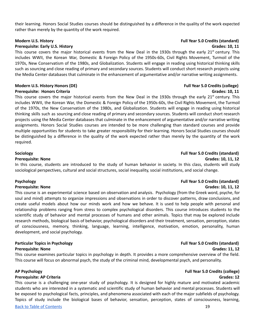their learning. Honors Social Studies courses should be distinguished by a difference in the quality of the work expected rather than merely by the quantity of the work required.

This course covers the major historical events from the New Deal in the 1930s through the early 21<sup>st</sup> century. This includes WWII, the Korean War, Domestic & Foreign Policy of the 1950s-60s, Civil Rights Movement, Turmoil of the 1970s, New Conservatism of the 1980s, and Globalization. Students will engage in reading using historical thinking skills such as sourcing and close reading of primary and secondary sources. Students will conduct short research projects using the Media Center databases that culminate in the enhancement of argumentative and/or narrative writing assignments.

## **Modern U.S. History Honors (DE) Full Year 5.0 Credits (college)**

### **Prerequisite: Honors Criteria Grades: 10, 11**

This course covers the major historical events from the New Deal in the 1930s through the early 21<sup>st</sup> century. This includes WWII, the Korean War, the Domestic & Foreign Policy of the 1950s-60s, the Civil Rights Movement, the Turmoil of the 1970s, the New Conservatism of the 1980s, and Globalization. Students will engage in reading using historical thinking skills such as sourcing and close reading of primary and secondary sources. Students will conduct short research projects using the Media Center databases that culminate in the enhancement of argumentative and/or narrative writing assignments. Honors Social Studies courses are intended to be more challenging than standard courses and provide multiple opportunities for students to take greater responsibility for their learning. Honors Social Studies courses should be distinguished by a difference in the quality of the work expected rather than merely by the quantity of the work required.

In this course, students are introduced to the study of human behavior in society. In this class, students will study sociological perspectives, cultural and social structures, social inequality, social institutions, and social change.

## **Psychology Full Year 5.0 Credits (standard)**

### **Prerequisite: None Grades: 10, 11, 12**

This course is an experimental science based on observation and analysis. Psychology (from the Greek word, psyche, for soul and mind) attempts to organize impressions and observations in order to discover patterns, draw conclusions, and create useful models about how our minds work and how we behave. It is used to help people with personal and relationship problems ranging from stress to complex psychological disorders. This course introduces students to the scientific study of behavior and mental processes of humans and other animals. Topics that may be explored include research methods, biological basis of behavior, psychological disorders and their treatment, sensation, perception, states of consciousness, memory, thinking, language, learning, intelligence, motivation, emotion, personality, human development, and social psychology.

# **Particular Topics in Psychology Full Year 5.0 Credits (standard)**

**Prerequisite: None Grades: 11, 12**

This course examines particular topics in psychology in depth. It provides a more comprehensive overview of the field. This course will focus on abnormal psych, the study of the criminal mind, developmental psych, and personality.

## **AP Psychology Full Year 5.0 Credits (college)**

## **Prerequisite: AP Criteria Grades: 12**

This course is a challenging one-year study of psychology. It is designed for highly mature and motivated academic students who are interested in a systematic and scientific study of human behavior and mental processes. Students will be exposed to psychological facts, principles, and phenomena associated with each of the major subfields of psychology. Topics of study include the biological bases of behavior, sensation, perception, states of consciousness, learning,

### **Modern U.S. History Full Year 5.0 Credits (standard) Prerequisite: Early U.S. History Grades: 10, 11**

## **Sociology Full Year 5.0 Credits (standard) Prerequisite: None Grades: 10, 11, 12**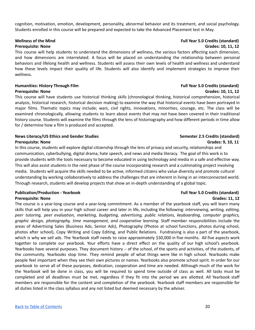cognition, motivation, emotion, development, personality, abnormal behavior and its treatment, and social psychology. Students enrolled in this course will be prepared and expected to take the Advanced Placement test in May.

This course will help students to understand the dimensions of wellness, the various factors affecting each dimension, and how dimensions are interrelated. A focus will be placed on understanding the relationship between personal behaviors and lifelong health and wellness. Students will assess their own levels of health and wellness and understand how these levels impact their quality of life. Students will also identify and implement strategies to improve their wellness.

# **Humanities: History Through Film Full Year 5.0 Credits (standard)**

This course will have students use historical thinking skills (chronological thinking, historical comprehension, historical analysis, historical research, historical decision making) to examine the way that historical events have been portrayed in major films. Thematic topics may include; wars, civil rights, innovations, minorities, courage, etc. The class will be examined chronologically, allowing students to learn about events that may not have been covered in their traditional history course. Students will examine the films through the lens of historiography and how different periods in time allow for / determine how a film is produced and accepted.

# **News Literacy/US Ethics and Gender Studies Semester 2.5 Credits (standard) Prerequisite: None Grades: 9, 10, 11**

In this course, students will explore digital citizenship through the lens of privacy and security, relationships and communication, cyberbullying, digital drama, hate speech, and news and media literacy. The goal of this work is to provide students with the tools necessary to become educated in using technology and media in a safe and effective way. This will also assist students in the next phase of the course incorporating research and a culminating project involving media. Students will acquire the skills needed to be active, informed citizens who value diversity and promote cultural understanding by working collaboratively to address the challenges that are inherent in living in an interconnected world. Through research, students will develop projects that show an in-depth understanding of a global topic.

# **Publication/Production - Yearbook Full Year 5.0 Credits (standard)**

The course is a year-long course and a year-long commitment. As a member of the yearbook staff, you will learn many skills that will help you in your high school career and later in life, including the following: *interviewing, writing, editing, peer tutoring, peer evaluation, marketing, budgeting, advertising, public relations, keyboarding, computer graphics, graphic design, photography, time management, and cooperative learning.* Staff member responsibilities include the areas of Advertising Sales (Business Ads, Senior Ads), Photography (Photos at school functions, photos during school, photos after school), Copy Writing and Copy Editing, and Public Relations. Fundraising is also a part of the yearbook, which is why we sell ads. The Yearbook staff needs to raise approximately \$30,000 in five months. All five aspects work together to complete our yearbook. Your efforts have a direct effect on the quality of our high school's yearbook. Yearbooks have several purposes. They document history -- of the school, of the sports and activities, of the students, of the community. Yearbooks stop time. They remind people of what things were like in high school. Yearbooks make people feel important when they see their own pictures or names. Yearbooks also promote school spirit. In order for our yearbook to serve all of these purposes, dedication, cooperation and time are needed. Although much of the work for the Yearbook will be done in class, you will be required to spend time outside of class as well. All tasks must be completed and all deadlines must be met, regardless if they fit into the period we are allotted. All Yearbook staff members are responsible for the content and completion of the yearbook. Yearbook staff members are responsible for all duties listed in the class syllabus and any not listed but deemed necessary by the adviser.

# **Wellness of the Mind Full Year 5.0 Credits (standard) Prerequisite: None Grades: 10, 11, 12**

# **Prerequisite: None Grades: 10, 11, 12**

# **Prerequisite: None Grades: 11, 12**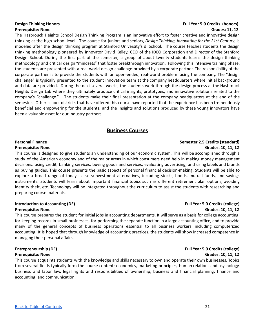# **Design Thinking Honors Full Year 5.0 Credits (honors) Prerequisite: None Grades: 11, 12**

The Hasbrouck Heights School Design Thinking Program is an innovative effort to foster creative and innovative design thinking at the high school level. The course for juniors and seniors, *Design Thinking, Innovating for the 21st Century*, is modeled after the design thinking program at Stanford University's d. School. The course teaches students the design thinking methodology pioneered by innovator David Kelley, CEO of the IDEO Corporation and Director of the Stanford Design School. During the first part of the semester, a group of about twenty students learns the design thinking methodology and critical design "mindsets" that foster breakthrough innovation. Following this intensive training phase, the students are presented with a real-world design challenge provided by a corporate partner. The responsibility of the corporate partner is to provide the students with an open-ended, real-world problem facing the company. The "design challenge" is typically presented to the student innovation team at the company headquarters where initial background and data are provided. During the next several weeks, the students work through the design process at the Hasbrouck Heights Design Lab where they ultimately produce critical insights, prototypes, and innovative solutions related to the company's "challenge." The students make their final presentation at the company headquarters at the end of the semester. Other school districts that have offered this course have reported that the experience has been tremendously beneficial and empowering for the students, and the insights and solutions produced by these young innovators have been a valuable asset for our industry partners.

# **Business Courses**

This course is designed to give students an understanding of our economic system. This will be accomplished through a study of the American economy and of the major areas in which consumers need help in making money management decisions: using credit, banking services, buying goods and services, evaluating advertising, and using labels and brands as buying guides. This course presents the basic aspects of personal financial decision-making. Students will be able to explore a broad range of today's assets/investment alternatives, including stocks, bonds, mutual funds, and savings instruments. Students will learn about important financial topics such as different retirement plan options, avoiding identity theft, etc. Technology will be integrated throughout the curriculum to assist the students with researching and preparing course materials.

### **Introduction to Accounting (DE) Full Year 5.0 Credits (college) Prerequisite: None Grades: 10, 11, 12**

This course prepares the student for initial jobs in accounting departments. It will serve as a basis for college accounting, for keeping records in small businesses, for performing the separate function in a large accounting office, and to provide many of the general concepts of business operations essential to all business workers, including computerized accounting. It is hoped that through knowledge of accounting practices, the students will show increased competence in managing their personal affairs.

# **Prerequisite: None Grades: 10, 11, 12**

This course acquaints students with the knowledge and skills necessary to own and operate their own businesses. Topics from several fields typically form the course content: economics, marketing principles, human relations and psychology, business and labor law, legal rights and responsibilities of ownership, business and financial planning, finance and accounting, and communication.

<span id="page-20-0"></span>**Personal Finance Semester 2.5 Credits (standard) Prerequisite: None Grades: 10, 11, 12**

# **Entrepreneurship (DE) Full Year 5.0 Credits (college)**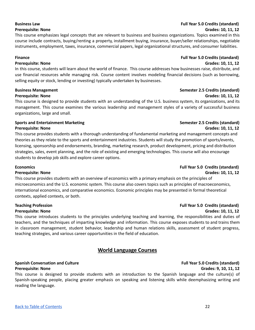This course emphasizes legal concepts that are relevant to business and business organizations. Topics examined in this course include contracts, buying/renting a property, installment buying, insurance, buyer/seller relationships, negotiable instruments, employment, taxes, insurance, commercial papers, legal organizational structures, and consumer liabilities.

In this course, students will learn about the world of finance. This course addresses how businesses raise, distribute, and use financial resources while managing risk. Course content involves modeling financial decisions (such as borrowing, selling equity or stock, lending or investing) typically undertaken by businesses.

This course is designed to provide students with an understanding of the U.S. business system, its organizations, and its management. This course examines the various leadership and management styles of a variety of successful business organizations, large and small.

# **Sports** and Entertainment Marketing **Semester Semester** 2.5 Credits (standard) **Prerequisite: None Grades: 10, 11, 12**

This course provides students with a thorough understanding of fundamental marketing and management concepts and theories as they relate to the sports and entertainment industries. Students will study the promotion of sports/events, licensing, sponsorship and endorsements, branding, marketing research, product development, pricing and distribution strategies, sales, event planning, and the role of existing and emerging technologies. This course will also encourage students to develop job skills and explore career options.

This course provides students with an overview of economics with a primary emphasis on the principles of microeconomics and the U.S. economic system. This course also covers topics such as principles of macroeconomics, international economics, and comparative economics. Economic principles may be presented in formal theoretical contexts, applied contexts, or both.

<span id="page-21-0"></span>This course introduces students to the principles underlying teaching and learning, the responsibilities and duties of teachers, and the techniques of imparting knowledge and information. This course exposes students to and trains them in classroom management, student behavior, leadership and human relations skills, assessment of student progress, teaching strategies, and various career opportunities in the field of education.

# **World Language Courses**

This course is designed to provide students with an introduction to the Spanish language and the culture(s) of Spanish-speaking people, placing greater emphasis on speaking and listening skills while deemphasizing writing and reading the language.

### **Business Management Semester 2.5 Credits (standard) Prerequisite: None Grades: 10, 11, 12**

# **Economics Full Year 5.0 Credits (standard) Prerequisite: None Grades: 10, 11, 12**

# **Teaching Profession Full Year 5.0 Credits (standard) Prerequisite: None Grades: 10, 11, 12**

# **Finance Full Year 5.0 Credits (standard) Prerequisite: None Grades: 10, 11, 12**

# **Business Law Full Year 5.0 Credits (standard) Prerequisite: None Grades: 10, 11, 12**

# **Spanish Conversation and Culture Full Year 5.0 Credits (standard) Prerequisite: None Grades: 9, 10, 11, 12**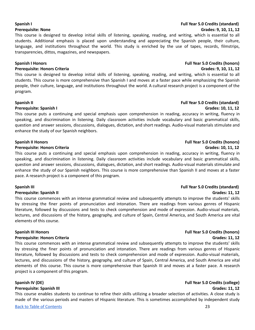# **Spanish I Full Year 5.0 Credits (standard) Prerequisite: None Grades: 9, 10, 11, 12**

This course is designed to develop initial skills of listening, speaking, reading, and writing, which is essential to all students. Additional emphasis is placed upon understanding and appreciating the Spanish people, their culture, language, and institutions throughout the world. This study is enriched by the use of tapes, records, filmstrips, transparencies, dittos, magazines, and newspapers.

### **Spanish I Honors Full Year 5.0 Credits (honors)**

### **Prerequisite: Honors Criteria Grades: 9, 10, 11, 12**

This course is designed to develop initial skills of listening, speaking, reading, and writing, which is essential to all students. This course is more comprehensive than Spanish I and moves at a faster pace while emphasizing the Spanish people, their culture, language, and institutions throughout the world. A cultural research project is a component of the program.

### **Spanish II Full Year 5.0 Credits (standard)**

### **Prerequisite: Spanish I Grades: 10, 11, 12**

This course puts a continuing and special emphasis upon comprehension in reading, accuracy in writing, fluency in speaking, and discrimination in listening. Daily classroom activities include vocabulary and basic grammatical skills, question and answer sessions, discussions, dialogues, dictation, and short readings. Audio-visual materials stimulate and enhance the study of our Spanish neighbors.

### **Prerequisite: Honors Criteria Grades: 10, 11, 12**

This course puts a continuing and special emphasis upon comprehension in reading, accuracy in writing, fluency in speaking, and discrimination in listening. Daily classroom activities include vocabulary and basic grammatical skills, question and answer sessions, discussions, dialogues, dictation, and short readings. Audio-visual materials stimulate and enhance the study of our Spanish neighbors. This course is more comprehensive than Spanish II and moves at a faster pace. A research project is a component of this program.

### **Prerequisite: Spanish II Grades: 11, 12**

This course commences with an intense grammatical review and subsequently attempts to improve the students' skills by stressing the finer points of pronunciation and intonation. There are readings from various genres of Hispanic literature, followed by discussions and tests to check comprehension and mode of expression. Audio-visual materials, lectures, and discussions of the history, geography, and culture of Spain, Central America, and South America are vital elements of this course.

### **Prerequisite: Honors Criteria Grades: 11, 12**

This course commences with an intense grammatical review and subsequently attempts to improve the students' skills by stressing the finer points of pronunciation and intonation. There are readings from various genres of Hispanic literature, followed by discussions and tests to check comprehension and mode of expression. Audio-visual materials, lectures, and discussions of the history, geography, and culture of Spain, Central America, and South America are vital elements of this course. This course is more comprehensive than Spanish III and moves at a faster pace. A research project is a component of this program.

This course enables students to continue to refine their skills utilizing a broader selection of activities. A close study is made of the various periods and masters of Hispanic literature. This is sometimes accomplished by independent study

# **Spanish II Honors Full Year 5.0 Credits (honors)**

# **Spanish III Honors Full Year 5.0 Credits (honors)**

## **Spanish IV (DE) Full Year 5.0 Credits (college) Prerequisite: Spanish III Grades: 11, 12**

# **Spanish III Full Year 5.0 Credits (standard)**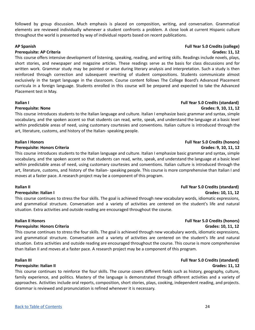followed by group discussion. Much emphasis is placed on composition, writing, and conversation. Grammatical elements are reviewed individually whenever a student confronts a problem. A close look at current Hispanic culture throughout the world is presented by way of individual reports based on recent publications.

### **AP Spanish Full Year 5.0 Credits (college)**

### **Prerequisite: AP Criteria Grades: 11, 12**

This course offers intensive development of listening, speaking, reading, and writing skills. Readings include novels, plays, short stories, and newspaper and magazine articles. These readings serve as the basis for class discussions and for written work. Grammar study may be pointed or arise during literary analysis and interpretation. Such a study is then reinforced through correction and subsequent rewriting of student compositions. Students communicate almost exclusively in the target language in the classroom. Course content follows The College Board's Advanced Placement curricula in a foreign language. Students enrolled in this course will be prepared and expected to take the Advanced Placement test in May.

This course introduces students to the Italian language and culture. Italian I emphasize basic grammar and syntax, simple vocabulary, and the spoken accent so that students can read, write, speak, and understand the language at a basic level within predictable areas of need, using customary courtesies and conventions. Italian culture is introduced through the art, literature, customs, and history of the Italian- speaking people.

### **Italian I Honors Full Year 5.0 Credits (honors)**

### **Prerequisite: Honors Criteria Grades: 9, 10, 11, 12**

This course introduces students to the Italian language and culture. Italian I emphasize basic grammar and syntax, simple vocabulary, and the spoken accent so that students can read, write, speak, and understand the language at a basic level within predictable areas of need, using customary courtesies and conventions. Italian culture is introduced through the art, literature, customs, and history of the Italian- speaking people. This course is more comprehensive than Italian I and moves at a faster pace. A research project may be a component of this program.

This course continues to stress the four skills. The goal is achieved through new vocabulary words, idiomatic expressions, and grammatical structure. Conversation and a variety of activities are centered on the student's life and natural situation. Extra activities and outside reading are encouraged throughout the course.

This course continues to stress the four skills. The goal is achieved through new vocabulary words, idiomatic expressions, and grammatical structure. Conversation and a variety of activities are centered on the student's life and natural situation. Extra activities and outside reading are encouraged throughout the course. This course is more comprehensive than Italian II and moves at a faster pace. A research project may be a component of this program.

### **Italian III Full Year 5.0 Credits (standard)**

### **Prerequisite: Italian II Grades: 11, 12**

This course continues to reinforce the four skills. The course covers different fields such as history, geography, culture, family experience, and politics. Mastery of the language is demonstrated through different activities and a variety of approaches. Activities include oral reports, composition, short stories, plays, cooking, independent reading, and projects. Grammar is reviewed and pronunciation is refined whenever it is necessary.

## **Italian II Full Year 5.0 Credits (standard) Prerequisite: Italian I Grades: 10, 11, 12**

# **Italian II Honors Full Year 5.0 Credits (honors) Prerequisite: Honors Criteria Grades: 10, 11, 12**

# **Italian I Full Year 5.0 Credits (standard)**

# **Prerequisite: None Grades: 9, 10, 11, 12**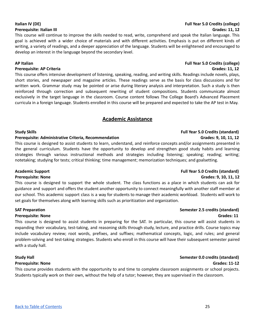This course will continue to improve the skills needed to read, write, comprehend and speak the Italian language. This goal is achieved with a wider choice of materials and with different activities. Emphasis is put on different kinds of writing, a variety of readings, and a deeper appreciation of the language. Students will be enlightened and encouraged to develop an interest in the language beyond the secondary level.

## **AP Italian Full Year 5.0 Credits (college)**

## **Prerequisite: AP Criteria Grades: 11, 12**

This course offers intensive development of listening, speaking, reading, and writing skills. Readings include novels, plays, short stories, and newspaper and magazine articles. These readings serve as the basis for class discussions and for written work. Grammar study may be pointed or arise during literary analysis and interpretation. Such a study is then reinforced through correction and subsequent rewriting of student compositions. Students communicate almost exclusively in the target language in the classroom. Course content follows The College Board's Advanced Placement curricula in a foreign language. Students enrolled in this course will be prepared and expected to take the AP test in May.

# **Academic Assistance**

# <span id="page-24-0"></span>**Study Skills Full Year 5.0 Credits (standard)**

## **Prerequisite: Administrative Criteria, Recommendation Grades: 9, 10, 11, 12**

This course is designed to assist students to learn, understand, and reinforce concepts and/or assignments presented in the general curriculum. Students have the opportunity to develop and strengthen good study habits and learning strategies through various instructional methods and strategies including listening; speaking; reading; writing; notetaking; studying for tests; critical thinking; time management; memorization techniques; and goalsetting.

This course is designed to support the whole student. The class functions as a place in which students can ask for guidance and support and offers the student another opportunity to connect meaningfully with another staff member at our school. This academic support class is a way for students to manage their academic workload. Students will work to set goals for themselves along with learning skills such as prioritization and organization.

## **SAT Preparation Semester 2.5 credits (standard)**

## **Prerequisite: None Grades: 11**

This course is designed to assist students in preparing for the SAT. In particular, this course will assist students in expanding their vocabulary, test-taking, and reasoning skills through study, lecture, and practice drills. Course topics may include vocabulary review; root words, prefixes, and suffixes; mathematical concepts, logic, and rules; and general problem-solving and test-taking strategies. Students who enroll in this course will have their subsequent semester paired with a study hall.

## **Prerequisite: None Grades: 11-12**

This course provides students with the opportunity to and time to complete classroom assignments or school projects. Students typically work on their own, without the help of a tutor; however, they are supervised in the classroom.

# **Italian IV (DE) Full Year 5.0 Credits (college) Prerequisite: Italian III Grades: 11, 12**

# **Academic Support Full Year 5.0 Credits (standard)**

# **Prerequisite: None Grades: 9, 10, 11, 12**

# **Study Hall Semester 0.0 credits (standard)**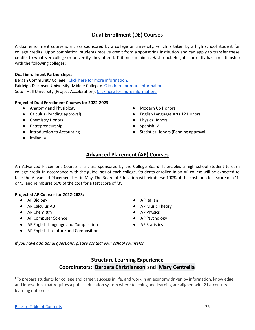# **Dual Enrollment (DE) Courses**

<span id="page-25-0"></span>A dual enrollment course is a class sponsored by a college or university, which is taken by a high school student for college credits. Upon completion, students receive credit from a sponsoring institution and can apply to transfer these credits to whatever college or university they attend. Tuition is minimal. Hasbrouck Heights currently has a relationship with the following colleges:

## **Dual Enrollment Partnerships:**

Bergen Community College: Click here for more [information.](https://bergen.edu/academics/k12partnerships/dual-enrollment/) Fairleigh Dickinson University (Middle College): Click here for more [information.](https://www.fdu.edu/academics/centers-institutes/petrocelli-center/middle-college/) Seton Hall University (Project Acceleration): Click here for more [information.](https://www.shu.edu/project-acceleration/index.cfm)

# **Projected Dual Enrollment Courses for 2022-2023:**

- Anatomy and Physiology
- Calculus (Pending approval)
- Chemistry Honors
- Entrepreneurship
- Introduction to Accounting
- <span id="page-25-1"></span>● Italian IV
- Modern US Honors
- English Language Arts 12 Honors
- Physics Honors
- Spanish IV
- Statistics Honors (Pending approval)

# **Advanced Placement (AP) Courses**

An Advanced Placement Course is a class sponsored by the College Board. It enables a high school student to earn college credit in accordance with the guidelines of each college. Students enrolled in an AP course will be expected to take the Advanced Placement test in May. The Board of Education will reimburse 100% of the cost for a test score of a '4' or '5' and reimburse 50% of the cost for a test score of '3'.

## **Projected AP Courses for 2022-2023:**

- AP Biology 
Contract and AP Italian 
AP Italian 
AP Italian 
AP Italian 
AP Italian 
AP Italian 
AP Italian 
AP Italian 
AP Italian 
AP Italian 
AP Italian 
AP Italian 
AP Italian 
AP Italian
- 
- AP Chemistry 
AP Physics
- AP Computer Science AP Psychology
- AP English Language and Composition AP Statistics
- AP English Literature and Composition
- 
- AP Calculus AB AP Music Theory
	-
	-
	-

<span id="page-25-2"></span>*If you have additional questions, please contact your school counselor.*

# **Structure Learning Experience Coordinators: Barbara [Christianson](mailto:christiansonb@hhschools.org)** and **Mary [Centrella](mailto:centrellam@hhschools.org)**

"To prepare students for college and career, success in life, and work in an economy driven by information, knowledge, and innovation. that requires a public education system where teaching and learning are aligned with 21st-century learning outcomes."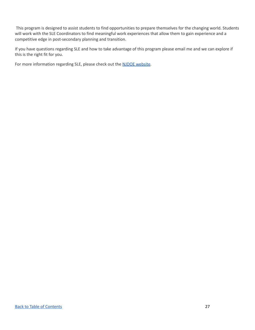This program is designed to assist students to find opportunities to prepare themselves for the changing world. Students will work with the SLE Coordinators to find meaningful work experiences that allow them to gain experience and a competitive edge in post-secondary planning and transition.

If you have questions regarding SLE and how to take advantage of this program please email me and we can explore if this is the right fit for you.

For more information regarding SLE, please check out the NJDOE [website](https://www.nj.gov/education/cte/programs/sle/).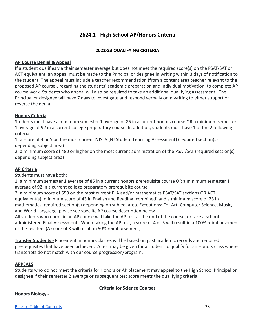# **2624.1 - High School AP/Honors Criteria**

# **2022-23 QUALIFYING CRITERIA**

# <span id="page-27-0"></span>**AP Course Denial & Appeal**

If a student qualifies via their semester average but does not meet the required score(s) on the PSAT/SAT or ACT equivalent, an appeal must be made to the Principal or designee in writing within 3 days of notification to the student. The appeal must include a teacher recommendation (from a content area teacher relevant to the proposed AP course), regarding the students' academic preparation and individual motivation, to complete AP course work. Students who appeal will also be required to take an additional qualifying assessment. The Principal or designee will have 7 days to investigate and respond verbally or in writing to either support or reverse the denial.

# **Honors Criteria**

Students must have a minimum semester 1 average of 85 in a current honors course OR a minimum semester 1 average of 92 in a current college preparatory course. In addition, students must have 1 of the 2 following criteria:

1: a score of 4 or 5 on the most current NJSLA (NJ Student Learning Assessment) (required section(s) depending subject area)

2: a minimum score of 480 or higher on the most current administration of the PSAT/SAT (required section(s) depending subject area)

# **AP Criteria**

Students must have both:

1: a minimum semester 1 average of 85 in a current honors prerequisite course OR a minimum semester 1 average of 92 in a current college preparatory prerequisite course

2: a minimum score of 550 on the most current ELA and/or mathematics PSAT/SAT sections OR ACT equivalent(s); minimum score of 43 in English and Reading (combined) and a minimum score of 23 in mathematics; required section(s) depending on subject area. Exceptions: For Art, Computer Science, Music, and World Language, please see specific AP course description below.

All students who enroll in an AP course will take the AP test at the end of the course, or take a school administered Final Assessment. When taking the AP test, a score of 4 or 5 will result in a 100% reimbursement of the test fee. (A score of 3 will result in 50% reimbursement)

**Transfer Students -** Placement in honors classes will be based on past academic records and required pre-requisites that have been achieved. A test may be given for a student to qualify for an Honors class where transcripts do not match with our course progression/program.

# **APPEALS**

Students who do not meet the criteria for Honors or AP placement may appeal to the High School Principal or designee if their semester 2 average or subsequent test score meets the qualifying criteria.

# **Criteria for Science Courses**

# **Honors Biology -**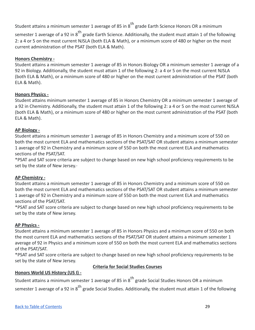Student attains a minimum semester 1 average of 85 in  $8^{\text{th}}$  grade Earth Science Honors OR a minimum

semester 1 average of a 92 in 8<sup>th</sup> grade Earth Science. Additionally, the student must attain 1 of the following 2: a 4 or 5 on the most current NJSLA (both ELA & Math), or a minimum score of 480 or higher on the most current administration of the PSAT (both ELA & Math).

# **Honors Chemistry -**

Student attains a minimum semester 1 average of 85 in Honors Biology OR a minimum semester 1 average of a 92 in Biology. Additionally, the student must attain 1 of the following 2: a 4 or 5 on the most current NJSLA (both ELA & Math), or a minimum score of 480 or higher on the most current administration of the PSAT (both ELA & Math).

# **Honors Physics -**

Student attains minimum semester 1 average of 85 in Honors Chemistry OR a minimum semester 1 average of a 92 in Chemistry. Additionally, the student must attain 1 of the following 2: a 4 or 5 on the most current NJSLA (both ELA & Math), or a minimum score of 480 or higher on the most current administration of the PSAT (both ELA & Math).

# **AP Biology -**

Student attains a minimum semester 1 average of 85 in Honors Chemistry and a minimum score of 550 on both the most current ELA and mathematics sections of the PSAT/SAT OR student attains a minimum semester 1 average of 92 in Chemistry and a minimum score of 550 on both the most current ELA and mathematics sections of the PSAT/SAT.

\*PSAT and SAT score criteria are subject to change based on new high school proficiency requirements to be set by the state of New Jersey.·

# **AP Chemistry -**

Student attains a minimum semester 1 average of 85 in Honors Chemistry and a minimum score of 550 on both the most current ELA and mathematics sections of the PSAT/SAT OR student attains a minimum semester 1 average of 92 in Chemistry and a minimum score of 550 on both the most current ELA and mathematics sections of the PSAT/SAT.

\*PSAT and SAT score criteria are subject to change based on new high school proficiency requirements to be set by the state of New Jersey.

# **AP Physics -**

Student attains a minimum semester 1 average of 85 in Honors Physics and a minimum score of 550 on both the most current ELA and mathematics sections of the PSAT/SAT OR student attains a minimum semester 1 average of 92 in Physics and a minimum score of 550 on both the most current ELA and mathematics sections of the PSAT/SAT.

\*PSAT and SAT score criteria are subject to change based on new high school proficiency requirements to be set by the state of New Jersey.

# **Criteria for Social Studies Courses**

# **Honors World US History (US I) -**

Student attains a minimum semester 1 average of 85 in  $8^{\sf th}$  grade Social Studies Honors OR a minimum semester 1 average of a 92 in 8<sup>th</sup> grade Social Studies. Additionally, the student must attain 1 of the following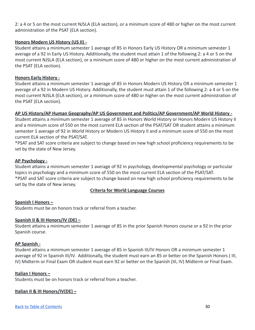2: a 4 or 5 on the most current NJSLA (ELA section), or a minimum score of 480 or higher on the most current administration of the PSAT (ELA section).

# **Honors Modern US History (US II) -**

Student attains a minimum semester 1 average of 85 in Honors Early US History OR a minimum semester 1 average of a 92 in Early US History. Additionally, the student must attain 1 of the following 2: a 4 or 5 on the most current NJSLA (ELA section), or a minimum score of 480 or higher on the most current administration of the PSAT (ELA section).

# **Honors Early History -**

Student attains a minimum semester 1 average of 85 in Honors Modern US History OR a minimum semester 1 average of a 92 in Modern US History. Additionally, the student must attain 1 of the following 2: a 4 or 5 on the most current NJSLA (ELA section), or a minimum score of 480 or higher on the most current administration of the PSAT (ELA section).

# **AP US History/AP Human Geography/AP US Government and Politics/AP Government/AP World History -**

Student attains a minimum semester 1 average of 85 in Honors World History or Honors Modern US History II and a minimum score of 550 on the most current ELA section of the PSAT/SAT OR student attains a minimum semester 1 average of 92 in World History or Modern US History II and a minimum score of 550 on the most current ELA section of the PSAT/SAT.

\*PSAT and SAT score criteria are subject to change based on new high school proficiency requirements to be set by the state of New Jersey.

# **AP Psychology -**

Student attains a minimum semester 1 average of 92 in psychology, developmental psychology or particular topics in psychology and a minimum score of 550 on the most current ELA section of the PSAT/SAT. \*PSAT and SAT score criteria are subject to change based on new high school proficiency requirements to be set by the state of New Jersey.

# **Criteria for World Language Courses**

# **Spanish I Honors –**

Students must be on honors track or referral from a teacher.

# **Spanish II & III Honors/IV (DE) –**

Student attains a minimum semester 1 average of 85 in the prior Spanish Honors course or a 92 in the prior Spanish course.

# **AP Spanish -**

Student attains a minimum semester 1 average of 85 in Spanish III/IV Honors OR a minimum semester 1 average of 92 in Spanish III/IV. Additionally, the student must earn an 85 or better on the Spanish Honors ( III, IV) Midterm or Final Exam OR student must earn 92 or better on the Spanish (III, IV) Midterm or Final Exam.

# **Italian I Honors –**

Students must be on honors track or referral from a teacher.

# **Italian II & III Honors/IV(DE) –**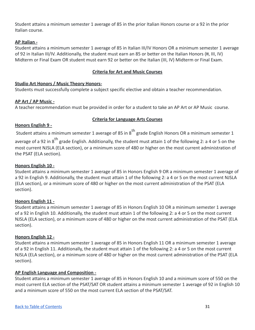Student attains a minimum semester 1 average of 85 in the prior Italian Honors course or a 92 in the prior Italian course.

# **AP Italian -**

Student attains a minimum semester 1 average of 85 in Italian III/IV Honors OR a minimum semester 1 average of 92 in Italian III/IV. Additionally, the student must earn an 85 or better on the Italian Honors (H, III, IV) Midterm or Final Exam OR student must earn 92 or better on the Italian (III, IV) Midterm or Final Exam.

# **Criteria for Art and Music Courses**

# **Studio Art Honors / Music Theory Honors-**

Students must successfully complete a subject specific elective and obtain a teacher recommendation.

# **AP Art / AP Music -**

A teacher recommendation must be provided in order for a student to take an AP Art or AP Music course.

# **Criteria for Language Arts Courses**

# **Honors English 9 -**

Student attains a minimum semester 1 average of 85 in 8<sup>th</sup> grade English Honors OR a minimum semester 1

average of a 92 in 8<sup>th</sup> grade English. Additionally, the student must attain 1 of the following 2: a 4 or 5 on the most current NJSLA (ELA section), or a minimum score of 480 or higher on the most current administration of the PSAT (ELA section).

# **Honors English 10 -**

Student attains a minimum semester 1 average of 85 in Honors English 9 OR a minimum semester 1 average of a 92 in English 9. Additionally, the student must attain 1 of the following 2: a 4 or 5 on the most current NJSLA (ELA section), or a minimum score of 480 or higher on the most current administration of the PSAT (ELA section).

# **Honors English 11 -**

Student attains a minimum semester 1 average of 85 in Honors English 10 OR a minimum semester 1 average of a 92 in English 10. Additionally, the student must attain 1 of the following 2: a 4 or 5 on the most current NJSLA (ELA section), or a minimum score of 480 or higher on the most current administration of the PSAT (ELA section).

# **Honors English 12 -**

Student attains a minimum semester 1 average of 85 in Honors English 11 OR a minimum semester 1 average of a 92 in English 11. Additionally, the student must attain 1 of the following 2: a 4 or 5 on the most current NJSLA (ELA section), or a minimum score of 480 or higher on the most current administration of the PSAT (ELA section).

# **AP English Language and Composition -**

Student attains a minimum semester 1 average of 85 in Honors English 10 and a minimum score of 550 on the most current ELA section of the PSAT/SAT OR student attains a minimum semester 1 average of 92 in English 10 and a minimum score of 550 on the most current ELA section of the PSAT/SAT.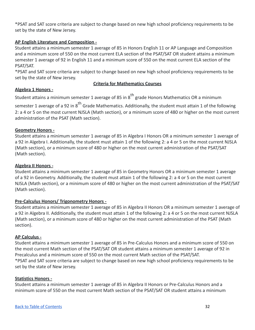\*PSAT and SAT score criteria are subject to change based on new high school proficiency requirements to be set by the state of New Jersey.

# **AP English Literature and Composition -**

Student attains a minimum semester 1 average of 85 in Honors English 11 or AP Language and Composition and a minimum score of 550 on the most current ELA section of the PSAT/SAT OR student attains a minimum semester 1 average of 92 in English 11 and a minimum score of 550 on the most current ELA section of the PSAT/SAT.

\*PSAT and SAT score criteria are subject to change based on new high school proficiency requirements to be set by the state of New Jersey.

# **Criteria for Mathematics Courses**

# **Algebra 1 Honors -**

Student attains a minimum semester 1 average of 85 in  $8^{\text{th}}$  grade Honors Mathematics OR a minimum

semester 1 average of a 92 in 8<sup>th</sup> Grade Mathematics. Additionally, the student must attain 1 of the following 2: a 4 or 5 on the most current NJSLA (Math section), or a minimum score of 480 or higher on the most current administration of the PSAT (Math section).

# **Geometry Honors -**

Student attains a minimum semester 1 average of 85 in Algebra I Honors OR a minimum semester 1 average of a 92 in Algebra I. Additionally, the student must attain 1 of the following 2: a 4 or 5 on the most current NJSLA (Math section), or a minimum score of 480 or higher on the most current administration of the PSAT/SAT (Math section).

# **Algebra II Honors -**

Student attains a minimum semester 1 average of 85 in Geometry Honors OR a minimum semester 1 average of a 92 in Geometry. Additionally, the student must attain 1 of the following 2: a 4 or 5 on the most current NJSLA (Math section), or a minimum score of 480 or higher on the most current administration of the PSAT/SAT (Math section).

# **Pre-Calculus Honors/ Trigonometry Honors -**

Student attains a minimum semester 1 average of 85 in Algebra II Honors OR a minimum semester 1 average of a 92 in Algebra II. Additionally, the student must attain 1 of the following 2: a 4 or 5 on the most current NJSLA (Math section), or a minimum score of 480 or higher on the most current administration of the PSAT (Math section).

# **AP Calculus -**

Student attains a minimum semester 1 average of 85 in Pre-Calculus Honors and a minimum score of 550 on the most current Math section of the PSAT/SAT OR student attains a minimum semester 1 average of 92 in Precalculus and a minimum score of 550 on the most current Math section of the PSAT/SAT. \*PSAT and SAT score criteria are subject to change based on new high school proficiency requirements to be set by the state of New Jersey.

# **Statistics Honors -**

Student attains a minimum semester 1 average of 85 in Algebra II Honors or Pre-Calculus Honors and a minimum score of 550 on the most current Math section of the PSAT/SAT OR student attains a minimum